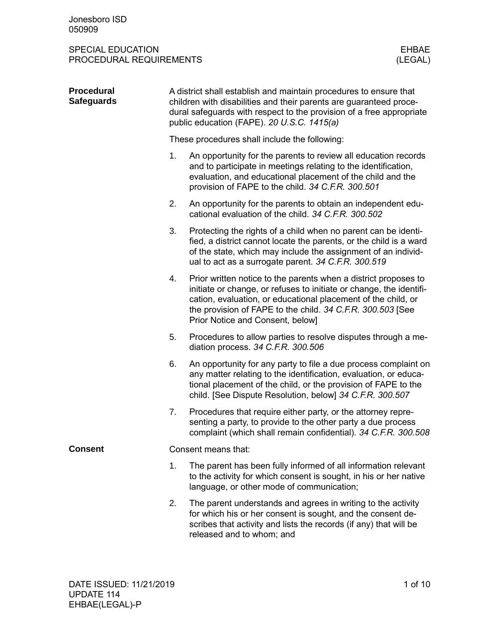#### SPECIAL EDUCATION FROCEDURAL REQUIREMENTS AND SUMMER SERVICES OF THE SERVICES OF THE SERVICE OF THE SERVICE OF<br>STRINGER SERVICES OF THE SERVICE OF THE SERVICE OF THE SERVICE OF THE SERVICE OF THE SERVICE OF THE SERVICE OF<br> PROCEDURAL REQUIREMENTS

| <b>Procedural</b><br><b>Safeguards</b> | A district shall establish and maintain procedures to ensure that<br>children with disabilities and their parents are guaranteed proce-<br>dural safeguards with respect to the provision of a free appropriate<br>public education (FAPE). 20 U.S.C. 1415(a) |                                                                                                                                                                                                                                                                                                           |  |  |  |  |  |
|----------------------------------------|---------------------------------------------------------------------------------------------------------------------------------------------------------------------------------------------------------------------------------------------------------------|-----------------------------------------------------------------------------------------------------------------------------------------------------------------------------------------------------------------------------------------------------------------------------------------------------------|--|--|--|--|--|
|                                        | These procedures shall include the following:                                                                                                                                                                                                                 |                                                                                                                                                                                                                                                                                                           |  |  |  |  |  |
|                                        | 1.                                                                                                                                                                                                                                                            | An opportunity for the parents to review all education records<br>and to participate in meetings relating to the identification,<br>evaluation, and educational placement of the child and the<br>provision of FAPE to the child. 34 C.F.R. 300.501                                                       |  |  |  |  |  |
|                                        | 2.                                                                                                                                                                                                                                                            | An opportunity for the parents to obtain an independent edu-<br>cational evaluation of the child. 34 C.F.R. 300.502                                                                                                                                                                                       |  |  |  |  |  |
|                                        | 3.                                                                                                                                                                                                                                                            | Protecting the rights of a child when no parent can be identi-<br>fied, a district cannot locate the parents, or the child is a ward<br>of the state, which may include the assignment of an individ-<br>ual to act as a surrogate parent. 34 C.F.R. 300.519                                              |  |  |  |  |  |
|                                        | 4.                                                                                                                                                                                                                                                            | Prior written notice to the parents when a district proposes to<br>initiate or change, or refuses to initiate or change, the identifi-<br>cation, evaluation, or educational placement of the child, or<br>the provision of FAPE to the child. 34 C.F.R. 300.503 [See<br>Prior Notice and Consent, below] |  |  |  |  |  |
|                                        | 5.                                                                                                                                                                                                                                                            | Procedures to allow parties to resolve disputes through a me-<br>diation process. 34 C.F.R. 300.506                                                                                                                                                                                                       |  |  |  |  |  |
|                                        | 6.                                                                                                                                                                                                                                                            | An opportunity for any party to file a due process complaint on<br>any matter relating to the identification, evaluation, or educa-<br>tional placement of the child, or the provision of FAPE to the<br>child. [See Dispute Resolution, below] 34 C.F.R. 300.507                                         |  |  |  |  |  |
|                                        | 7.                                                                                                                                                                                                                                                            | Procedures that require either party, or the attorney repre-<br>senting a party, to provide to the other party a due process<br>complaint (which shall remain confidential). 34 C.F.R. 300.508                                                                                                            |  |  |  |  |  |
| <b>Consent</b>                         | Consent means that:                                                                                                                                                                                                                                           |                                                                                                                                                                                                                                                                                                           |  |  |  |  |  |
|                                        | 1.                                                                                                                                                                                                                                                            | The parent has been fully informed of all information relevant<br>to the activity for which consent is sought, in his or her native<br>language, or other mode of communication;                                                                                                                          |  |  |  |  |  |
|                                        | 2.                                                                                                                                                                                                                                                            | The parent understands and agrees in writing to the activity<br>for which his or her consent is sought, and the consent de-<br>scribes that activity and lists the records (if any) that will be<br>released and to whom; and                                                                             |  |  |  |  |  |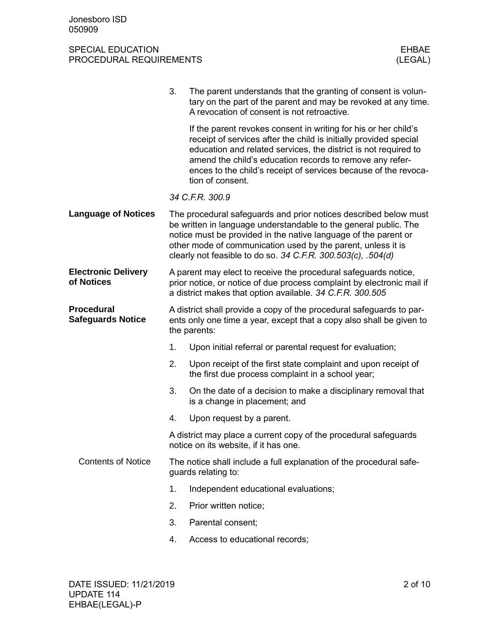#### SPECIAL EDUCATION FROCEDURAL REQUIREMENTS AND SUMMER SERVICES OF THE SERVICES OF THE SERVICES OF THE SERVICES<br>STRUCK AND THE SERVICES OF THE SERVICE OF THE SERVICE OF THE SERVICE OF THE SERVICE OF THE SERVICE OF THE SERVIC PROCEDURAL REQUIREMENTS

|                                               | 3.                                                                                                                                                                                                     | The parent understands that the granting of consent is volun-<br>tary on the part of the parent and may be revoked at any time.                                                                                                                                                                                                                            |  |  |  |
|-----------------------------------------------|--------------------------------------------------------------------------------------------------------------------------------------------------------------------------------------------------------|------------------------------------------------------------------------------------------------------------------------------------------------------------------------------------------------------------------------------------------------------------------------------------------------------------------------------------------------------------|--|--|--|
|                                               |                                                                                                                                                                                                        | A revocation of consent is not retroactive.                                                                                                                                                                                                                                                                                                                |  |  |  |
|                                               |                                                                                                                                                                                                        | If the parent revokes consent in writing for his or her child's<br>receipt of services after the child is initially provided special<br>education and related services, the district is not required to<br>amend the child's education records to remove any refer-<br>ences to the child's receipt of services because of the revoca-<br>tion of consent. |  |  |  |
|                                               |                                                                                                                                                                                                        | 34 C.F.R. 300.9                                                                                                                                                                                                                                                                                                                                            |  |  |  |
| <b>Language of Notices</b>                    |                                                                                                                                                                                                        | The procedural safeguards and prior notices described below must<br>be written in language understandable to the general public. The<br>notice must be provided in the native language of the parent or<br>other mode of communication used by the parent, unless it is<br>clearly not feasible to do so. 34 C.F.R. 300.503(c), .504(d)                    |  |  |  |
| <b>Electronic Delivery</b><br>of Notices      | A parent may elect to receive the procedural safeguards notice,<br>prior notice, or notice of due process complaint by electronic mail if<br>a district makes that option available. 34 C.F.R. 300.505 |                                                                                                                                                                                                                                                                                                                                                            |  |  |  |
| <b>Procedural</b><br><b>Safeguards Notice</b> |                                                                                                                                                                                                        | A district shall provide a copy of the procedural safeguards to par-<br>ents only one time a year, except that a copy also shall be given to<br>the parents:                                                                                                                                                                                               |  |  |  |
|                                               | 1.                                                                                                                                                                                                     | Upon initial referral or parental request for evaluation;                                                                                                                                                                                                                                                                                                  |  |  |  |
|                                               | 2.                                                                                                                                                                                                     | Upon receipt of the first state complaint and upon receipt of<br>the first due process complaint in a school year;                                                                                                                                                                                                                                         |  |  |  |
|                                               | 3.                                                                                                                                                                                                     | On the date of a decision to make a disciplinary removal that<br>is a change in placement; and                                                                                                                                                                                                                                                             |  |  |  |
|                                               | 4.                                                                                                                                                                                                     | Upon request by a parent.                                                                                                                                                                                                                                                                                                                                  |  |  |  |
|                                               |                                                                                                                                                                                                        | A district may place a current copy of the procedural safeguards<br>notice on its website, if it has one.                                                                                                                                                                                                                                                  |  |  |  |
| <b>Contents of Notice</b>                     | The notice shall include a full explanation of the procedural safe-<br>guards relating to:                                                                                                             |                                                                                                                                                                                                                                                                                                                                                            |  |  |  |
|                                               | 1.                                                                                                                                                                                                     | Independent educational evaluations;                                                                                                                                                                                                                                                                                                                       |  |  |  |
|                                               | 2.                                                                                                                                                                                                     | Prior written notice;                                                                                                                                                                                                                                                                                                                                      |  |  |  |
|                                               | 3.                                                                                                                                                                                                     | Parental consent;                                                                                                                                                                                                                                                                                                                                          |  |  |  |
|                                               | 4.                                                                                                                                                                                                     | Access to educational records;                                                                                                                                                                                                                                                                                                                             |  |  |  |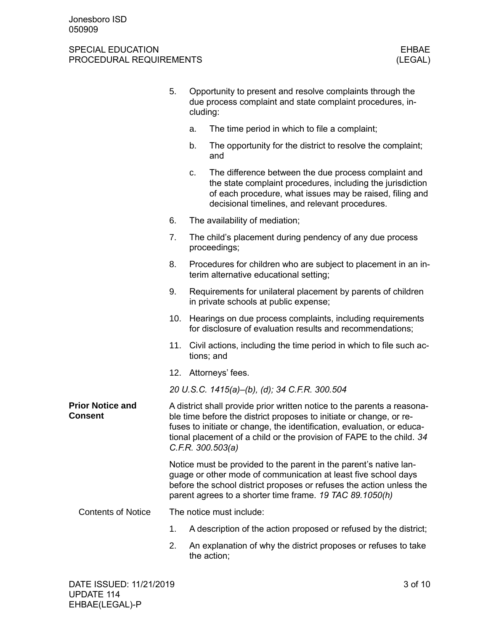|                                    | 5.                                                                                                                                                                                                                                                                                                                     | cluding:                 | Opportunity to present and resolve complaints through the<br>due process complaint and state complaint procedures, in-                                                                                                                                                  |
|------------------------------------|------------------------------------------------------------------------------------------------------------------------------------------------------------------------------------------------------------------------------------------------------------------------------------------------------------------------|--------------------------|-------------------------------------------------------------------------------------------------------------------------------------------------------------------------------------------------------------------------------------------------------------------------|
|                                    |                                                                                                                                                                                                                                                                                                                        | a.                       | The time period in which to file a complaint;                                                                                                                                                                                                                           |
|                                    |                                                                                                                                                                                                                                                                                                                        | b.                       | The opportunity for the district to resolve the complaint;<br>and                                                                                                                                                                                                       |
|                                    |                                                                                                                                                                                                                                                                                                                        | c.                       | The difference between the due process complaint and<br>the state complaint procedures, including the jurisdiction<br>of each procedure, what issues may be raised, filing and<br>decisional timelines, and relevant procedures.                                        |
|                                    | 6.                                                                                                                                                                                                                                                                                                                     |                          | The availability of mediation;                                                                                                                                                                                                                                          |
|                                    | 7.                                                                                                                                                                                                                                                                                                                     |                          | The child's placement during pendency of any due process<br>proceedings;                                                                                                                                                                                                |
|                                    | 8.                                                                                                                                                                                                                                                                                                                     |                          | Procedures for children who are subject to placement in an in-<br>terim alternative educational setting;                                                                                                                                                                |
|                                    | 9.                                                                                                                                                                                                                                                                                                                     |                          | Requirements for unilateral placement by parents of children<br>in private schools at public expense;                                                                                                                                                                   |
|                                    | 10.                                                                                                                                                                                                                                                                                                                    |                          | Hearings on due process complaints, including requirements<br>for disclosure of evaluation results and recommendations;                                                                                                                                                 |
|                                    | 11.                                                                                                                                                                                                                                                                                                                    |                          | Civil actions, including the time period in which to file such ac-<br>tions; and                                                                                                                                                                                        |
|                                    |                                                                                                                                                                                                                                                                                                                        |                          | 12. Attorneys' fees.                                                                                                                                                                                                                                                    |
|                                    |                                                                                                                                                                                                                                                                                                                        |                          | 20 U.S.C. 1415(a)-(b), (d); 34 C.F.R. 300.504                                                                                                                                                                                                                           |
| <b>Prior Notice and</b><br>Consent | A district shall provide prior written notice to the parents a reasona-<br>ble time before the district proposes to initiate or change, or re-<br>fuses to initiate or change, the identification, evaluation, or educa-<br>tional placement of a child or the provision of FAPE to the child. 34<br>C.F.R. 300.503(a) |                          |                                                                                                                                                                                                                                                                         |
|                                    |                                                                                                                                                                                                                                                                                                                        |                          | Notice must be provided to the parent in the parent's native lan-<br>guage or other mode of communication at least five school days<br>before the school district proposes or refuses the action unless the<br>parent agrees to a shorter time frame. 19 TAC 89.1050(h) |
| <b>Contents of Notice</b>          |                                                                                                                                                                                                                                                                                                                        | The notice must include: |                                                                                                                                                                                                                                                                         |
|                                    | 1.                                                                                                                                                                                                                                                                                                                     |                          | A description of the action proposed or refused by the district;                                                                                                                                                                                                        |
|                                    | 2.                                                                                                                                                                                                                                                                                                                     |                          | An explanation of why the district proposes or refuses to take<br>the action;                                                                                                                                                                                           |
|                                    |                                                                                                                                                                                                                                                                                                                        |                          |                                                                                                                                                                                                                                                                         |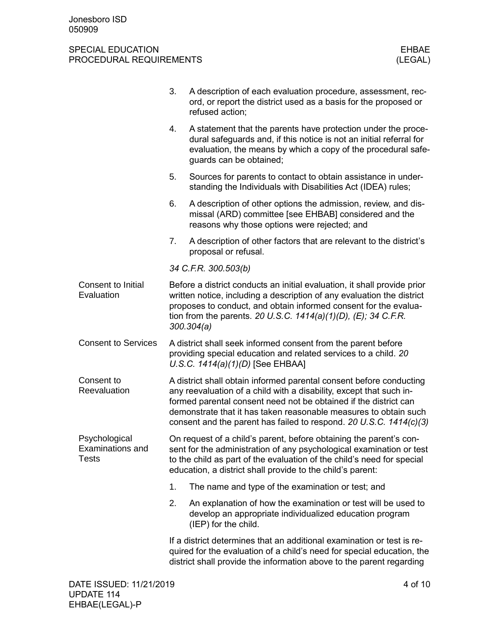#### SPECIAL EDUCATION FROCEDURAL REQUIREMENTS AND SUMMER SERVICES OF THE SERVICES OF THE SERVICES OF THE SERVICES<br>STRUCK AND THE SERVICES OF THE SERVICE OF THE SERVICE OF THE SERVICE OF THE SERVICE OF THE SERVICE OF THE SERVIC PROCEDURAL REQUIREMENTS

|                                                   | 3.                                                                                                                                                                                                                                                                                                                                                       | A description of each evaluation procedure, assessment, rec-<br>ord, or report the district used as a basis for the proposed or<br>refused action;                                                                                                                                 |  |  |  |  |
|---------------------------------------------------|----------------------------------------------------------------------------------------------------------------------------------------------------------------------------------------------------------------------------------------------------------------------------------------------------------------------------------------------------------|------------------------------------------------------------------------------------------------------------------------------------------------------------------------------------------------------------------------------------------------------------------------------------|--|--|--|--|
|                                                   | 4.                                                                                                                                                                                                                                                                                                                                                       | A statement that the parents have protection under the proce-<br>dural safeguards and, if this notice is not an initial referral for<br>evaluation, the means by which a copy of the procedural safe-<br>guards can be obtained;                                                   |  |  |  |  |
|                                                   | 5.                                                                                                                                                                                                                                                                                                                                                       | Sources for parents to contact to obtain assistance in under-<br>standing the Individuals with Disabilities Act (IDEA) rules;                                                                                                                                                      |  |  |  |  |
|                                                   | 6.                                                                                                                                                                                                                                                                                                                                                       | A description of other options the admission, review, and dis-<br>missal (ARD) committee [see EHBAB] considered and the<br>reasons why those options were rejected; and                                                                                                            |  |  |  |  |
|                                                   | 7.                                                                                                                                                                                                                                                                                                                                                       | A description of other factors that are relevant to the district's<br>proposal or refusal.                                                                                                                                                                                         |  |  |  |  |
|                                                   |                                                                                                                                                                                                                                                                                                                                                          | 34 C.F.R. 300.503(b)                                                                                                                                                                                                                                                               |  |  |  |  |
| Consent to Initial<br>Evaluation                  | Before a district conducts an initial evaluation, it shall provide prior<br>written notice, including a description of any evaluation the district<br>proposes to conduct, and obtain informed consent for the evalua-<br>tion from the parents. 20 U.S.C. $1414(a)(1)(D)$ , (E); 34 C.F.R.<br>300.304(a)                                                |                                                                                                                                                                                                                                                                                    |  |  |  |  |
| <b>Consent to Services</b>                        | A district shall seek informed consent from the parent before<br>providing special education and related services to a child. 20<br>U.S.C. $1414(a)(1)(D)$ [See EHBAA]                                                                                                                                                                                   |                                                                                                                                                                                                                                                                                    |  |  |  |  |
| Consent to<br>Reevaluation                        | A district shall obtain informed parental consent before conducting<br>any reevaluation of a child with a disability, except that such in-<br>formed parental consent need not be obtained if the district can<br>demonstrate that it has taken reasonable measures to obtain such<br>consent and the parent has failed to respond. 20 U.S.C. 1414(c)(3) |                                                                                                                                                                                                                                                                                    |  |  |  |  |
| Psychological<br>Examinations and<br><b>Tests</b> |                                                                                                                                                                                                                                                                                                                                                          | On request of a child's parent, before obtaining the parent's con-<br>sent for the administration of any psychological examination or test<br>to the child as part of the evaluation of the child's need for special<br>education, a district shall provide to the child's parent: |  |  |  |  |
|                                                   | 1.                                                                                                                                                                                                                                                                                                                                                       | The name and type of the examination or test; and                                                                                                                                                                                                                                  |  |  |  |  |
|                                                   | 2.                                                                                                                                                                                                                                                                                                                                                       | An explanation of how the examination or test will be used to<br>develop an appropriate individualized education program<br>(IEP) for the child.                                                                                                                                   |  |  |  |  |
|                                                   |                                                                                                                                                                                                                                                                                                                                                          | If a district determines that an additional examination or test is re-<br>quired for the evaluation of a child's need for special education, the<br>district shall provide the information above to the parent regarding                                                           |  |  |  |  |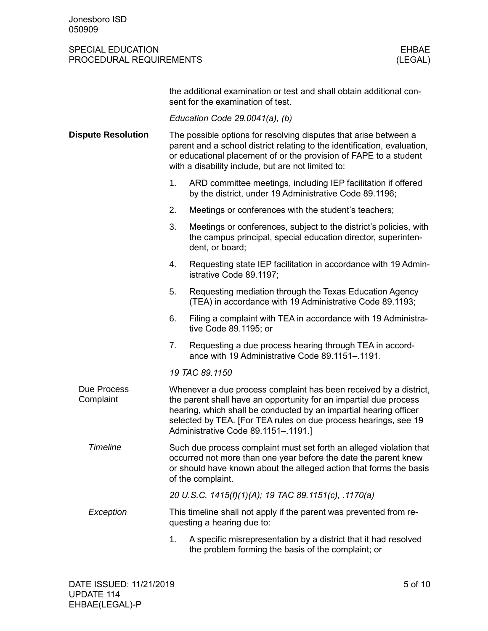#### SPECIAL EDUCATION FROCEDURAL REQUIREMENTS AND SUMMER SERVICES OF THE SERVICES OF THE SERVICE OF THE SERVICE OF<br>STRINGER SERVICES OF THE SERVICE OF THE SERVICE OF THE SERVICE OF THE SERVICE OF THE SERVICE OF THE SERVICE OF<br> PROCEDURAL REQUIREMENTS

|                           | the additional examination or test and shall obtain additional con-<br>sent for the examination of test.                                                                                                                                                                                                              |  |  |  |  |  |  |
|---------------------------|-----------------------------------------------------------------------------------------------------------------------------------------------------------------------------------------------------------------------------------------------------------------------------------------------------------------------|--|--|--|--|--|--|
|                           | Education Code $29.0041(a)$ , (b)                                                                                                                                                                                                                                                                                     |  |  |  |  |  |  |
| <b>Dispute Resolution</b> | The possible options for resolving disputes that arise between a<br>parent and a school district relating to the identification, evaluation,<br>or educational placement of or the provision of FAPE to a student<br>with a disability include, but are not limited to:                                               |  |  |  |  |  |  |
|                           | 1.<br>ARD committee meetings, including IEP facilitation if offered<br>by the district, under 19 Administrative Code 89.1196;                                                                                                                                                                                         |  |  |  |  |  |  |
|                           | 2.<br>Meetings or conferences with the student's teachers;                                                                                                                                                                                                                                                            |  |  |  |  |  |  |
|                           | 3.<br>Meetings or conferences, subject to the district's policies, with<br>the campus principal, special education director, superinten-<br>dent, or board;                                                                                                                                                           |  |  |  |  |  |  |
|                           | 4.<br>Requesting state IEP facilitation in accordance with 19 Admin-<br>istrative Code 89.1197;                                                                                                                                                                                                                       |  |  |  |  |  |  |
|                           | 5.<br>Requesting mediation through the Texas Education Agency<br>(TEA) in accordance with 19 Administrative Code 89.1193;                                                                                                                                                                                             |  |  |  |  |  |  |
|                           | Filing a complaint with TEA in accordance with 19 Administra-<br>6.<br>tive Code 89.1195; or                                                                                                                                                                                                                          |  |  |  |  |  |  |
|                           | 7.<br>Requesting a due process hearing through TEA in accord-<br>ance with 19 Administrative Code 89.1151-.1191.                                                                                                                                                                                                      |  |  |  |  |  |  |
|                           | 19 TAC 89.1150                                                                                                                                                                                                                                                                                                        |  |  |  |  |  |  |
| Due Process<br>Complaint  | Whenever a due process complaint has been received by a district,<br>the parent shall have an opportunity for an impartial due process<br>hearing, which shall be conducted by an impartial hearing officer<br>selected by TEA. [For TEA rules on due process hearings, see 19<br>Administrative Code 89.1151-.1191.] |  |  |  |  |  |  |
| <b>Timeline</b>           | Such due process complaint must set forth an alleged violation that<br>occurred not more than one year before the date the parent knew<br>or should have known about the alleged action that forms the basis<br>of the complaint.                                                                                     |  |  |  |  |  |  |
|                           | 20 U.S.C. 1415(f)(1)(A); 19 TAC 89.1151(c), .1170(a)                                                                                                                                                                                                                                                                  |  |  |  |  |  |  |
| Exception                 | This timeline shall not apply if the parent was prevented from re-<br>questing a hearing due to:                                                                                                                                                                                                                      |  |  |  |  |  |  |
|                           | 1.<br>A specific misrepresentation by a district that it had resolved<br>the problem forming the basis of the complaint; or                                                                                                                                                                                           |  |  |  |  |  |  |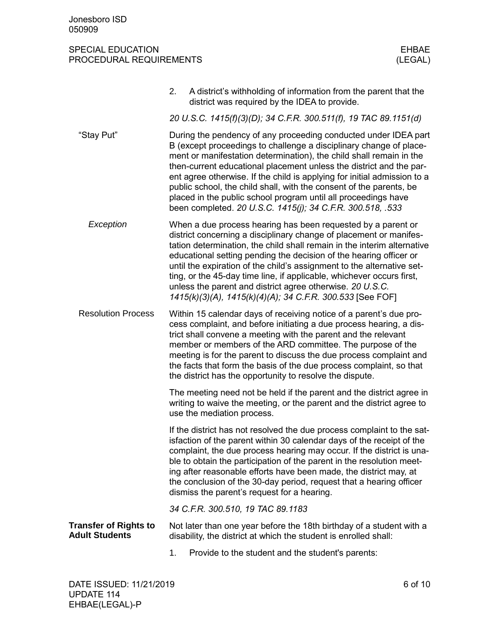|                                                       | 2. | A district's withholding of information from the parent that the<br>district was required by the IDEA to provide.                                                                                                                                                                                                                                                                                                                                                                                                                                                      |
|-------------------------------------------------------|----|------------------------------------------------------------------------------------------------------------------------------------------------------------------------------------------------------------------------------------------------------------------------------------------------------------------------------------------------------------------------------------------------------------------------------------------------------------------------------------------------------------------------------------------------------------------------|
|                                                       |    | 20 U.S.C. 1415(f)(3)(D); 34 C.F.R. 300.511(f), 19 TAC 89.1151(d)                                                                                                                                                                                                                                                                                                                                                                                                                                                                                                       |
| "Stay Put"                                            |    | During the pendency of any proceeding conducted under IDEA part<br>B (except proceedings to challenge a disciplinary change of place-<br>ment or manifestation determination), the child shall remain in the<br>then-current educational placement unless the district and the par-<br>ent agree otherwise. If the child is applying for initial admission to a<br>public school, the child shall, with the consent of the parents, be<br>placed in the public school program until all proceedings have<br>been completed. 20 U.S.C. 1415(j); 34 C.F.R. 300.518, .533 |
| Exception                                             |    | When a due process hearing has been requested by a parent or<br>district concerning a disciplinary change of placement or manifes-<br>tation determination, the child shall remain in the interim alternative<br>educational setting pending the decision of the hearing officer or<br>until the expiration of the child's assignment to the alternative set-<br>ting, or the 45-day time line, if applicable, whichever occurs first,<br>unless the parent and district agree otherwise. 20 U.S.C.<br>1415(k)(3)(A), 1415(k)(4)(A); 34 C.F.R. 300.533 [See FOF]       |
| <b>Resolution Process</b>                             |    | Within 15 calendar days of receiving notice of a parent's due pro-<br>cess complaint, and before initiating a due process hearing, a dis-<br>trict shall convene a meeting with the parent and the relevant<br>member or members of the ARD committee. The purpose of the<br>meeting is for the parent to discuss the due process complaint and<br>the facts that form the basis of the due process complaint, so that<br>the district has the opportunity to resolve the dispute.                                                                                     |
|                                                       |    | The meeting need not be held if the parent and the district agree in<br>writing to waive the meeting, or the parent and the district agree to<br>use the mediation process.                                                                                                                                                                                                                                                                                                                                                                                            |
|                                                       |    | If the district has not resolved the due process complaint to the sat-<br>isfaction of the parent within 30 calendar days of the receipt of the<br>complaint, the due process hearing may occur. If the district is una-<br>ble to obtain the participation of the parent in the resolution meet-<br>ing after reasonable efforts have been made, the district may, at<br>the conclusion of the 30-day period, request that a hearing officer<br>dismiss the parent's request for a hearing.                                                                           |
|                                                       |    | 34 C.F.R. 300.510, 19 TAC 89.1183                                                                                                                                                                                                                                                                                                                                                                                                                                                                                                                                      |
| <b>Transfer of Rights to</b><br><b>Adult Students</b> |    | Not later than one year before the 18th birthday of a student with a<br>disability, the district at which the student is enrolled shall:                                                                                                                                                                                                                                                                                                                                                                                                                               |
|                                                       | 1. | Provide to the student and the student's parents:                                                                                                                                                                                                                                                                                                                                                                                                                                                                                                                      |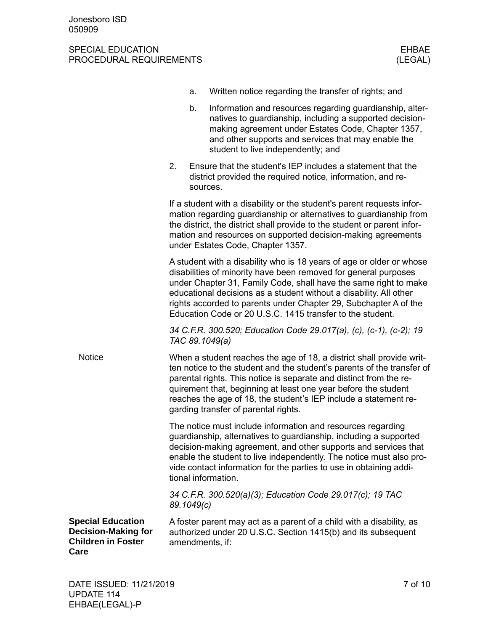|                                                                                             |            | a.       | Written notice regarding the transfer of rights; and                                                                                                                                                                                                                                                                                                                                                               |
|---------------------------------------------------------------------------------------------|------------|----------|--------------------------------------------------------------------------------------------------------------------------------------------------------------------------------------------------------------------------------------------------------------------------------------------------------------------------------------------------------------------------------------------------------------------|
|                                                                                             |            | b.       | Information and resources regarding guardianship, alter-<br>natives to guardianship, including a supported decision-<br>making agreement under Estates Code, Chapter 1357,<br>and other supports and services that may enable the<br>student to live independently; and                                                                                                                                            |
|                                                                                             | 2.         | sources. | Ensure that the student's IEP includes a statement that the<br>district provided the required notice, information, and re-                                                                                                                                                                                                                                                                                         |
|                                                                                             |            |          | If a student with a disability or the student's parent requests infor-<br>mation regarding guardianship or alternatives to guardianship from<br>the district, the district shall provide to the student or parent infor-<br>mation and resources on supported decision-making agreements<br>under Estates Code, Chapter 1357.                                                                                      |
|                                                                                             |            |          | A student with a disability who is 18 years of age or older or whose<br>disabilities of minority have been removed for general purposes<br>under Chapter 31, Family Code, shall have the same right to make<br>educational decisions as a student without a disability. All other<br>rights accorded to parents under Chapter 29, Subchapter A of the<br>Education Code or 20 U.S.C. 1415 transfer to the student. |
|                                                                                             |            |          | 34 C.F.R. 300.520; Education Code 29.017(a), (c), (c-1), (c-2); 19<br>TAC 89.1049(a)                                                                                                                                                                                                                                                                                                                               |
| <b>Notice</b>                                                                               |            |          | When a student reaches the age of 18, a district shall provide writ-<br>ten notice to the student and the student's parents of the transfer of<br>parental rights. This notice is separate and distinct from the re-<br>quirement that, beginning at least one year before the student<br>reaches the age of 18, the student's IEP include a statement re-<br>garding transfer of parental rights.                 |
|                                                                                             |            |          | The notice must include information and resources regarding<br>guardianship, alternatives to guardianship, including a supported<br>decision-making agreement, and other supports and services that<br>enable the student to live independently. The notice must also pro-<br>vide contact information for the parties to use in obtaining addi-<br>tional information.                                            |
|                                                                                             | 89.1049(c) |          | 34 C.F.R. 300.520(a)(3); Education Code 29.017(c); 19 TAC                                                                                                                                                                                                                                                                                                                                                          |
| <b>Special Education</b><br><b>Decision-Making for</b><br><b>Children in Foster</b><br>Care |            |          | A foster parent may act as a parent of a child with a disability, as<br>authorized under 20 U.S.C. Section 1415(b) and its subsequent<br>amendments, if:                                                                                                                                                                                                                                                           |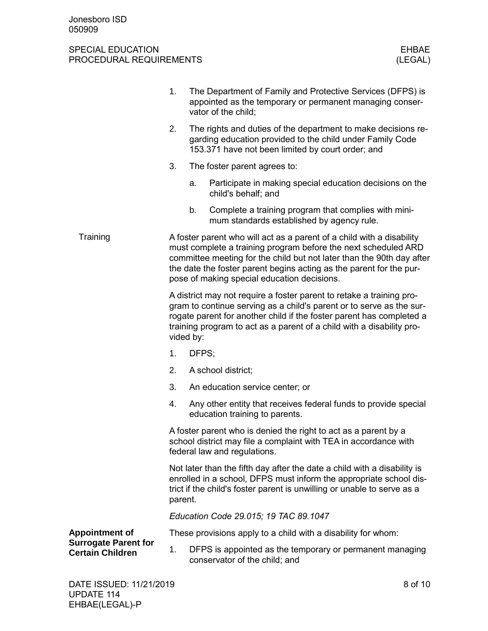|                                                        | 1.                                                                                                                                                                                                                                                                                                                                     |       | The Department of Family and Protective Services (DFPS) is<br>appointed as the temporary or permanent managing conser-<br>vator of the child;                                                                                                                                                 |  |  |
|--------------------------------------------------------|----------------------------------------------------------------------------------------------------------------------------------------------------------------------------------------------------------------------------------------------------------------------------------------------------------------------------------------|-------|-----------------------------------------------------------------------------------------------------------------------------------------------------------------------------------------------------------------------------------------------------------------------------------------------|--|--|
|                                                        | 2.<br>The rights and duties of the department to make decisions re-<br>garding education provided to the child under Family Code<br>153.371 have not been limited by court order; and                                                                                                                                                  |       |                                                                                                                                                                                                                                                                                               |  |  |
|                                                        | 3.                                                                                                                                                                                                                                                                                                                                     |       | The foster parent agrees to:                                                                                                                                                                                                                                                                  |  |  |
|                                                        |                                                                                                                                                                                                                                                                                                                                        | a.    | Participate in making special education decisions on the<br>child's behalf; and                                                                                                                                                                                                               |  |  |
|                                                        |                                                                                                                                                                                                                                                                                                                                        | b.    | Complete a training program that complies with mini-<br>mum standards established by agency rule.                                                                                                                                                                                             |  |  |
| Training                                               | A foster parent who will act as a parent of a child with a disability<br>must complete a training program before the next scheduled ARD<br>committee meeting for the child but not later than the 90th day after<br>the date the foster parent begins acting as the parent for the pur-<br>pose of making special education decisions. |       |                                                                                                                                                                                                                                                                                               |  |  |
|                                                        | vided by:                                                                                                                                                                                                                                                                                                                              |       | A district may not require a foster parent to retake a training pro-<br>gram to continue serving as a child's parent or to serve as the sur-<br>rogate parent for another child if the foster parent has completed a<br>training program to act as a parent of a child with a disability pro- |  |  |
|                                                        | 1.                                                                                                                                                                                                                                                                                                                                     | DFPS; |                                                                                                                                                                                                                                                                                               |  |  |
|                                                        | 2.                                                                                                                                                                                                                                                                                                                                     |       | A school district;                                                                                                                                                                                                                                                                            |  |  |
|                                                        | 3.                                                                                                                                                                                                                                                                                                                                     |       | An education service center; or                                                                                                                                                                                                                                                               |  |  |
|                                                        | 4.                                                                                                                                                                                                                                                                                                                                     |       | Any other entity that receives federal funds to provide special<br>education training to parents.                                                                                                                                                                                             |  |  |
|                                                        |                                                                                                                                                                                                                                                                                                                                        |       | A foster parent who is denied the right to act as a parent by a<br>school district may file a complaint with TEA in accordance with<br>federal law and regulations.                                                                                                                           |  |  |
|                                                        | parent.                                                                                                                                                                                                                                                                                                                                |       | Not later than the fifth day after the date a child with a disability is<br>enrolled in a school, DFPS must inform the appropriate school dis-<br>trict if the child's foster parent is unwilling or unable to serve as a                                                                     |  |  |
|                                                        |                                                                                                                                                                                                                                                                                                                                        |       | Education Code 29.015; 19 TAC 89.1047                                                                                                                                                                                                                                                         |  |  |
| <b>Appointment of</b>                                  |                                                                                                                                                                                                                                                                                                                                        |       | These provisions apply to a child with a disability for whom:                                                                                                                                                                                                                                 |  |  |
| <b>Surrogate Parent for</b><br><b>Certain Children</b> | 1.                                                                                                                                                                                                                                                                                                                                     |       | DFPS is appointed as the temporary or permanent managing<br>conservator of the child; and                                                                                                                                                                                                     |  |  |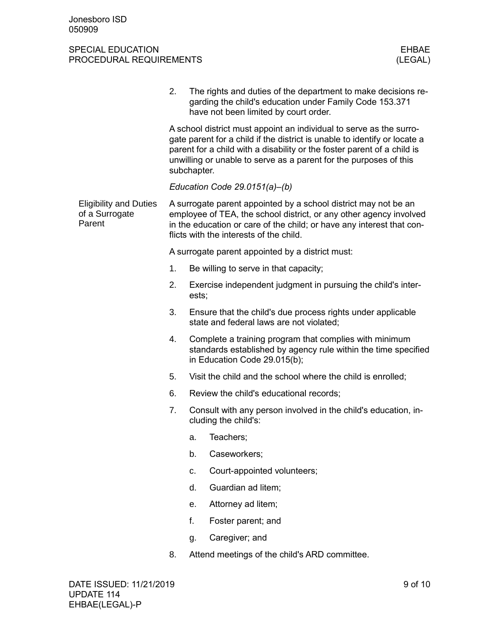|  |                                                           | 2.                                                                                                                                                                                                                                                                                                              | The rights and duties of the department to make decisions re-<br>garding the child's education under Family Code 153.371<br>have not been limited by court order.                                                                                         |  |  |  |  |
|--|-----------------------------------------------------------|-----------------------------------------------------------------------------------------------------------------------------------------------------------------------------------------------------------------------------------------------------------------------------------------------------------------|-----------------------------------------------------------------------------------------------------------------------------------------------------------------------------------------------------------------------------------------------------------|--|--|--|--|
|  |                                                           | A school district must appoint an individual to serve as the surro-<br>gate parent for a child if the district is unable to identify or locate a<br>parent for a child with a disability or the foster parent of a child is<br>unwilling or unable to serve as a parent for the purposes of this<br>subchapter. |                                                                                                                                                                                                                                                           |  |  |  |  |
|  |                                                           |                                                                                                                                                                                                                                                                                                                 | Education Code 29.0151(a)-(b)                                                                                                                                                                                                                             |  |  |  |  |
|  | <b>Eligibility and Duties</b><br>of a Surrogate<br>Parent |                                                                                                                                                                                                                                                                                                                 | A surrogate parent appointed by a school district may not be an<br>employee of TEA, the school district, or any other agency involved<br>in the education or care of the child; or have any interest that con-<br>flicts with the interests of the child. |  |  |  |  |
|  |                                                           |                                                                                                                                                                                                                                                                                                                 | A surrogate parent appointed by a district must:                                                                                                                                                                                                          |  |  |  |  |
|  |                                                           | 1.                                                                                                                                                                                                                                                                                                              | Be willing to serve in that capacity;                                                                                                                                                                                                                     |  |  |  |  |
|  |                                                           | 2.                                                                                                                                                                                                                                                                                                              | Exercise independent judgment in pursuing the child's inter-<br>ests;                                                                                                                                                                                     |  |  |  |  |
|  |                                                           | 3.                                                                                                                                                                                                                                                                                                              | Ensure that the child's due process rights under applicable<br>state and federal laws are not violated;                                                                                                                                                   |  |  |  |  |
|  |                                                           | 4.                                                                                                                                                                                                                                                                                                              | Complete a training program that complies with minimum<br>standards established by agency rule within the time specified<br>in Education Code 29.015(b);                                                                                                  |  |  |  |  |
|  |                                                           | 5.                                                                                                                                                                                                                                                                                                              | Visit the child and the school where the child is enrolled;                                                                                                                                                                                               |  |  |  |  |
|  |                                                           | 6.                                                                                                                                                                                                                                                                                                              | Review the child's educational records;                                                                                                                                                                                                                   |  |  |  |  |
|  |                                                           | 7.                                                                                                                                                                                                                                                                                                              | Consult with any person involved in the child's education, in-<br>cluding the child's:                                                                                                                                                                    |  |  |  |  |
|  |                                                           |                                                                                                                                                                                                                                                                                                                 | Teachers;<br>а.                                                                                                                                                                                                                                           |  |  |  |  |
|  |                                                           |                                                                                                                                                                                                                                                                                                                 | Caseworkers;<br>b.                                                                                                                                                                                                                                        |  |  |  |  |
|  |                                                           |                                                                                                                                                                                                                                                                                                                 | Court-appointed volunteers;<br>C.                                                                                                                                                                                                                         |  |  |  |  |
|  |                                                           |                                                                                                                                                                                                                                                                                                                 | Guardian ad litem;<br>d.                                                                                                                                                                                                                                  |  |  |  |  |
|  |                                                           |                                                                                                                                                                                                                                                                                                                 | Attorney ad litem;<br>е.                                                                                                                                                                                                                                  |  |  |  |  |
|  |                                                           |                                                                                                                                                                                                                                                                                                                 | f.<br>Foster parent; and                                                                                                                                                                                                                                  |  |  |  |  |
|  |                                                           |                                                                                                                                                                                                                                                                                                                 | Caregiver; and<br>g.                                                                                                                                                                                                                                      |  |  |  |  |
|  |                                                           | 8.                                                                                                                                                                                                                                                                                                              | Attend meetings of the child's ARD committee.                                                                                                                                                                                                             |  |  |  |  |
|  |                                                           |                                                                                                                                                                                                                                                                                                                 |                                                                                                                                                                                                                                                           |  |  |  |  |